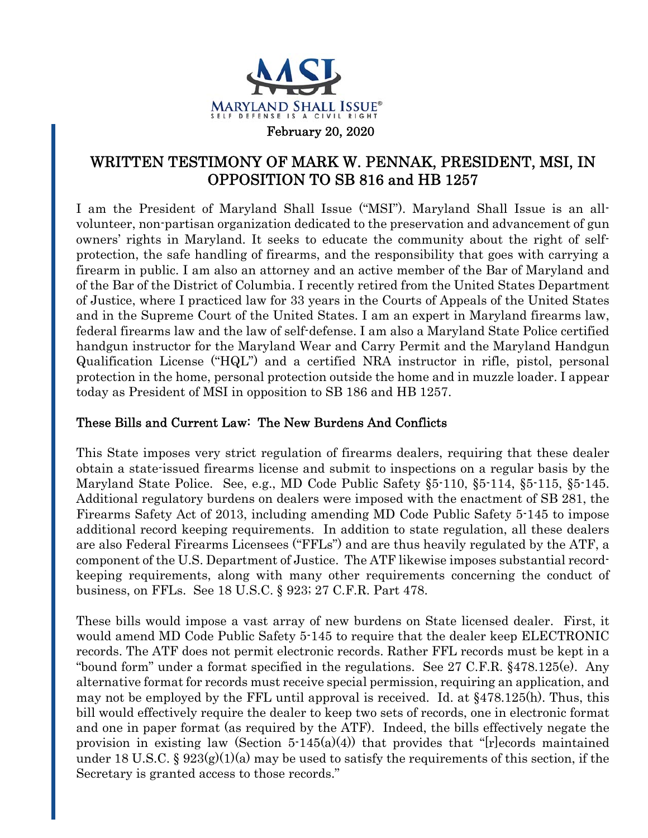

## WRITTEN TESTIMONY OF MARK W. PENNAK, PRESIDENT, MSI, IN OPPOSITION TO SB 816 and HB 1257

I am the President of Maryland Shall Issue ("MSI"). Maryland Shall Issue is an allvolunteer, non-partisan organization dedicated to the preservation and advancement of gun owners' rights in Maryland. It seeks to educate the community about the right of selfprotection, the safe handling of firearms, and the responsibility that goes with carrying a firearm in public. I am also an attorney and an active member of the Bar of Maryland and of the Bar of the District of Columbia. I recently retired from the United States Department of Justice, where I practiced law for 33 years in the Courts of Appeals of the United States and in the Supreme Court of the United States. I am an expert in Maryland firearms law, federal firearms law and the law of self-defense. I am also a Maryland State Police certified handgun instructor for the Maryland Wear and Carry Permit and the Maryland Handgun Qualification License ("HQL") and a certified NRA instructor in rifle, pistol, personal protection in the home, personal protection outside the home and in muzzle loader. I appear today as President of MSI in opposition to SB 186 and HB 1257.

## These Bills and Current Law: The New Burdens And Conflicts

This State imposes very strict regulation of firearms dealers, requiring that these dealer obtain a state-issued firearms license and submit to inspections on a regular basis by the Maryland State Police. See, e.g., MD Code Public Safety §5-110, §5-114, §5-115, §5-145. Additional regulatory burdens on dealers were imposed with the enactment of SB 281, the Firearms Safety Act of 2013, including amending MD Code Public Safety 5-145 to impose additional record keeping requirements. In addition to state regulation, all these dealers are also Federal Firearms Licensees ("FFLs") and are thus heavily regulated by the ATF, a component of the U.S. Department of Justice. The ATF likewise imposes substantial recordkeeping requirements, along with many other requirements concerning the conduct of business, on FFLs. See 18 U.S.C. § 923; 27 C.F.R. Part 478.

These bills would impose a vast array of new burdens on State licensed dealer. First, it would amend MD Code Public Safety 5-145 to require that the dealer keep ELECTRONIC records. The ATF does not permit electronic records. Rather FFL records must be kept in a "bound form" under a format specified in the regulations. See 27 C.F.R. §478.125(e). Any alternative format for records must receive special permission, requiring an application, and may not be employed by the FFL until approval is received. Id. at §478.125(h). Thus, this bill would effectively require the dealer to keep two sets of records, one in electronic format and one in paper format (as required by the ATF). Indeed, the bills effectively negate the provision in existing law (Section  $5\text{-}145(a)(4)$ ) that provides that "[r]ecords maintained under 18 U.S.C. §  $923(g)(1)(a)$  may be used to satisfy the requirements of this section, if the Secretary is granted access to those records."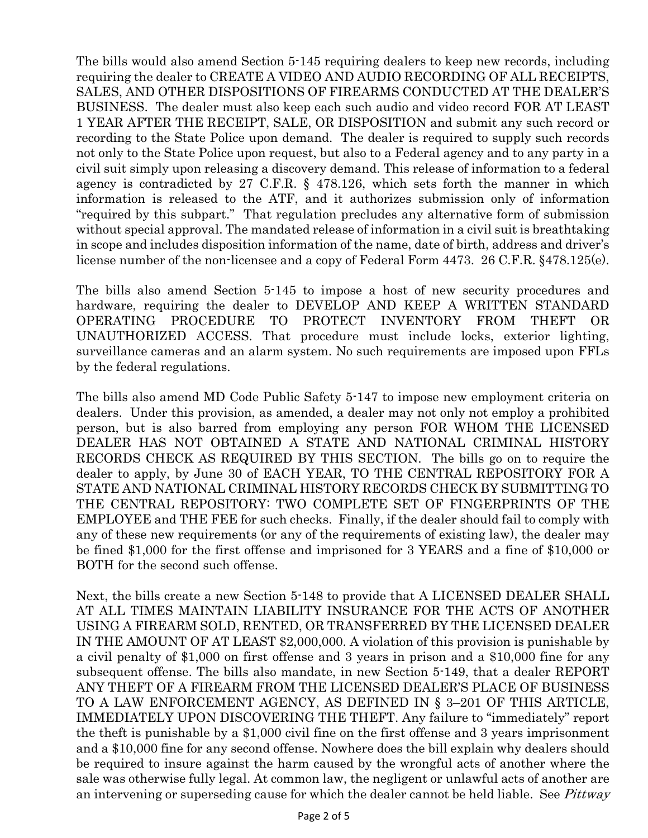The bills would also amend Section 5-145 requiring dealers to keep new records, including requiring the dealer to CREATE A VIDEO AND AUDIO RECORDING OF ALL RECEIPTS, SALES, AND OTHER DISPOSITIONS OF FIREARMS CONDUCTED AT THE DEALER'S BUSINESS. The dealer must also keep each such audio and video record FOR AT LEAST 1 YEAR AFTER THE RECEIPT, SALE, OR DISPOSITION and submit any such record or recording to the State Police upon demand. The dealer is required to supply such records not only to the State Police upon request, but also to a Federal agency and to any party in a civil suit simply upon releasing a discovery demand. This release of information to a federal agency is contradicted by 27 C.F.R. § 478.126, which sets forth the manner in which information is released to the ATF, and it authorizes submission only of information "required by this subpart." That regulation precludes any alternative form of submission without special approval. The mandated release of information in a civil suit is breathtaking in scope and includes disposition information of the name, date of birth, address and driver's license number of the non-licensee and a copy of Federal Form 4473. 26 C.F.R. §478.125(e).

The bills also amend Section 5-145 to impose a host of new security procedures and hardware, requiring the dealer to DEVELOP AND KEEP A WRITTEN STANDARD OPERATING PROCEDURE TO PROTECT INVENTORY FROM THEFT OR UNAUTHORIZED ACCESS. That procedure must include locks, exterior lighting, surveillance cameras and an alarm system. No such requirements are imposed upon FFLs by the federal regulations.

The bills also amend MD Code Public Safety 5-147 to impose new employment criteria on dealers. Under this provision, as amended, a dealer may not only not employ a prohibited person, but is also barred from employing any person FOR WHOM THE LICENSED DEALER HAS NOT OBTAINED A STATE AND NATIONAL CRIMINAL HISTORY RECORDS CHECK AS REQUIRED BY THIS SECTION. The bills go on to require the dealer to apply, by June 30 of EACH YEAR, TO THE CENTRAL REPOSITORY FOR A STATE AND NATIONAL CRIMINAL HISTORY RECORDS CHECK BY SUBMITTING TO THE CENTRAL REPOSITORY: TWO COMPLETE SET OF FINGERPRINTS OF THE EMPLOYEE and THE FEE for such checks. Finally, if the dealer should fail to comply with any of these new requirements (or any of the requirements of existing law), the dealer may be fined \$1,000 for the first offense and imprisoned for 3 YEARS and a fine of \$10,000 or BOTH for the second such offense.

Next, the bills create a new Section 5-148 to provide that A LICENSED DEALER SHALL AT ALL TIMES MAINTAIN LIABILITY INSURANCE FOR THE ACTS OF ANOTHER USING A FIREARM SOLD, RENTED, OR TRANSFERRED BY THE LICENSED DEALER IN THE AMOUNT OF AT LEAST \$2,000,000. A violation of this provision is punishable by a civil penalty of \$1,000 on first offense and 3 years in prison and a \$10,000 fine for any subsequent offense. The bills also mandate, in new Section 5-149, that a dealer REPORT ANY THEFT OF A FIREARM FROM THE LICENSED DEALER'S PLACE OF BUSINESS TO A LAW ENFORCEMENT AGENCY, AS DEFINED IN § 3–201 OF THIS ARTICLE, IMMEDIATELY UPON DISCOVERING THE THEFT. Any failure to "immediately" report the theft is punishable by a \$1,000 civil fine on the first offense and 3 years imprisonment and a \$10,000 fine for any second offense. Nowhere does the bill explain why dealers should be required to insure against the harm caused by the wrongful acts of another where the sale was otherwise fully legal. At common law, the negligent or unlawful acts of another are an intervening or superseding cause for which the dealer cannot be held liable. See *Pittway*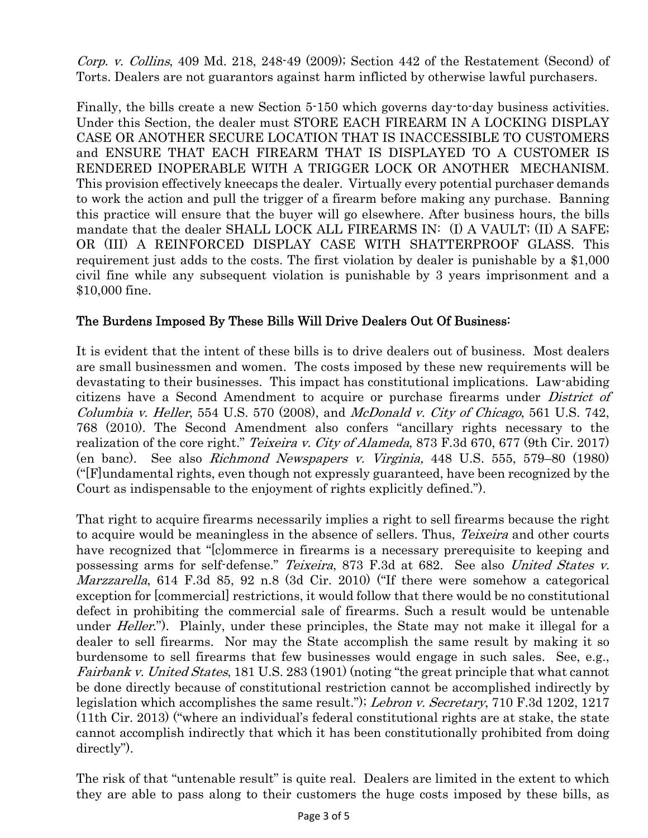Corp. v. Collins, 409 Md. 218, 248-49 (2009); Section 442 of the Restatement (Second) of Torts. Dealers are not guarantors against harm inflicted by otherwise lawful purchasers.

Finally, the bills create a new Section 5-150 which governs day-to-day business activities. Under this Section, the dealer must STORE EACH FIREARM IN A LOCKING DISPLAY CASE OR ANOTHER SECURE LOCATION THAT IS INACCESSIBLE TO CUSTOMERS and ENSURE THAT EACH FIREARM THAT IS DISPLAYED TO A CUSTOMER IS RENDERED INOPERABLE WITH A TRIGGER LOCK OR ANOTHER MECHANISM. This provision effectively kneecaps the dealer. Virtually every potential purchaser demands to work the action and pull the trigger of a firearm before making any purchase. Banning this practice will ensure that the buyer will go elsewhere. After business hours, the bills mandate that the dealer SHALL LOCK ALL FIREARMS IN: (I) A VAULT; (II) A SAFE; OR (III) A REINFORCED DISPLAY CASE WITH SHATTERPROOF GLASS. This requirement just adds to the costs. The first violation by dealer is punishable by a \$1,000 civil fine while any subsequent violation is punishable by 3 years imprisonment and a \$10,000 fine.

## The Burdens Imposed By These Bills Will Drive Dealers Out Of Business:

It is evident that the intent of these bills is to drive dealers out of business. Most dealers are small businessmen and women. The costs imposed by these new requirements will be devastating to their businesses. This impact has constitutional implications. Law-abiding citizens have a Second Amendment to acquire or purchase firearms under *District of* Columbia v. Heller, 554 U.S. 570 (2008), and McDonald v. City of Chicago, 561 U.S. 742, 768 (2010). The Second Amendment also confers "ancillary rights necessary to the realization of the core right." *Teixeira v. City of Alameda*, 873 F.3d 670, 677 (9th Cir. 2017) (en banc). See also Richmond Newspapers v. Virginia, 448 U.S. 555, 579–80 (1980) ("[F]undamental rights, even though not expressly guaranteed, have been recognized by the Court as indispensable to the enjoyment of rights explicitly defined.").

That right to acquire firearms necessarily implies a right to sell firearms because the right to acquire would be meaningless in the absence of sellers. Thus, *Teixeira* and other courts have recognized that "[c]ommerce in firearms is a necessary prerequisite to keeping and possessing arms for self-defense." Teixeira, 873 F.3d at 682. See also United States v. Marzzarella, 614 F.3d 85, 92 n.8 (3d Cir. 2010) ("If there were somehow a categorical exception for [commercial] restrictions, it would follow that there would be no constitutional defect in prohibiting the commercial sale of firearms. Such a result would be untenable under *Heller*."). Plainly, under these principles, the State may not make it illegal for a dealer to sell firearms. Nor may the State accomplish the same result by making it so burdensome to sell firearms that few businesses would engage in such sales. See, e.g., Fairbank v. United States, 181 U.S. 283 (1901) (noting "the great principle that what cannot be done directly because of constitutional restriction cannot be accomplished indirectly by legislation which accomplishes the same result."); Lebron v. Secretary, 710 F.3d 1202, 1217 (11th Cir. 2013) ("where an individual's federal constitutional rights are at stake, the state cannot accomplish indirectly that which it has been constitutionally prohibited from doing directly").

The risk of that "untenable result" is quite real. Dealers are limited in the extent to which they are able to pass along to their customers the huge costs imposed by these bills, as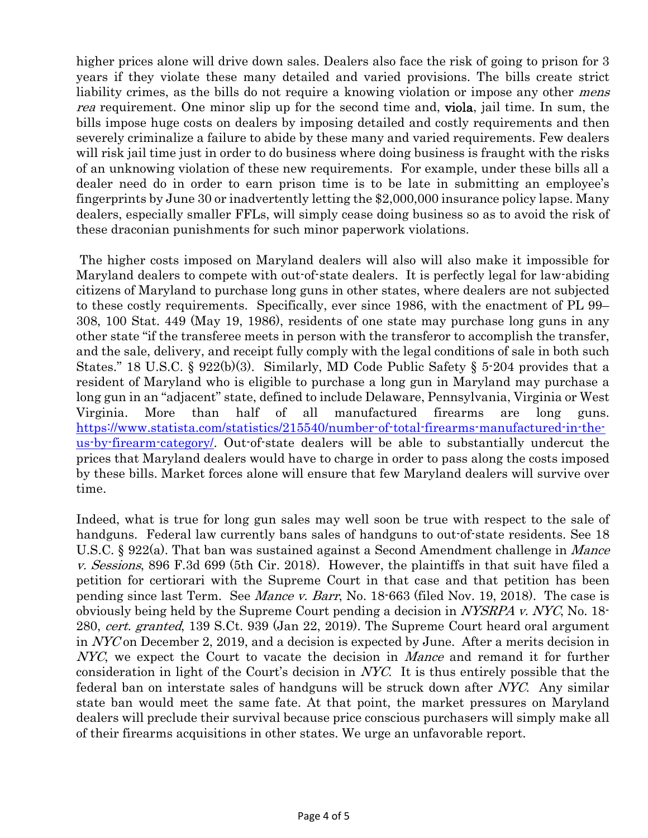higher prices alone will drive down sales. Dealers also face the risk of going to prison for 3 years if they violate these many detailed and varied provisions. The bills create strict liability crimes, as the bills do not require a knowing violation or impose any other *mens* rea requirement. One minor slip up for the second time and, **viola**, jail time. In sum, the bills impose huge costs on dealers by imposing detailed and costly requirements and then severely criminalize a failure to abide by these many and varied requirements. Few dealers will risk jail time just in order to do business where doing business is fraught with the risks of an unknowing violation of these new requirements. For example, under these bills all a dealer need do in order to earn prison time is to be late in submitting an employee's fingerprints by June 30 or inadvertently letting the \$2,000,000 insurance policy lapse. Many dealers, especially smaller FFLs, will simply cease doing business so as to avoid the risk of these draconian punishments for such minor paperwork violations.

 The higher costs imposed on Maryland dealers will also will also make it impossible for Maryland dealers to compete with out-of-state dealers. It is perfectly legal for law-abiding citizens of Maryland to purchase long guns in other states, where dealers are not subjected to these costly requirements. Specifically, ever since 1986, with the enactment of PL 99– 308, 100 Stat. 449 (May 19, 1986), residents of one state may purchase long guns in any other state "if the transferee meets in person with the transferor to accomplish the transfer, and the sale, delivery, and receipt fully comply with the legal conditions of sale in both such States." 18 U.S.C. § 922(b)(3). Similarly, MD Code Public Safety § 5-204 provides that a resident of Maryland who is eligible to purchase a long gun in Maryland may purchase a long gun in an "adjacent" state, defined to include Delaware, Pennsylvania, Virginia or West Virginia. More than half of all manufactured firearms are long guns. https://www.statista.com/statistics/215540/number-of-total-firearms-manufactured-in-theus-by-firearm-category/. Out-of-state dealers will be able to substantially undercut the prices that Maryland dealers would have to charge in order to pass along the costs imposed by these bills. Market forces alone will ensure that few Maryland dealers will survive over time.

Indeed, what is true for long gun sales may well soon be true with respect to the sale of handguns. Federal law currently bans sales of handguns to out-of-state residents. See 18 U.S.C. § 922(a). That ban was sustained against a Second Amendment challenge in *Mance* v. Sessions, 896 F.3d 699 (5th Cir. 2018). However, the plaintiffs in that suit have filed a petition for certiorari with the Supreme Court in that case and that petition has been pending since last Term. See Mance v. Barr, No. 18-663 (filed Nov. 19, 2018). The case is obviously being held by the Supreme Court pending a decision in NYSRPA v. NYC, No. 18- 280, cert. granted, 139 S.Ct. 939 (Jan 22, 2019). The Supreme Court heard oral argument in NYC on December 2, 2019, and a decision is expected by June. After a merits decision in NYC, we expect the Court to vacate the decision in *Mance* and remand it for further consideration in light of the Court's decision in NYC. It is thus entirely possible that the federal ban on interstate sales of handguns will be struck down after NYC. Any similar state ban would meet the same fate. At that point, the market pressures on Maryland dealers will preclude their survival because price conscious purchasers will simply make all of their firearms acquisitions in other states. We urge an unfavorable report.